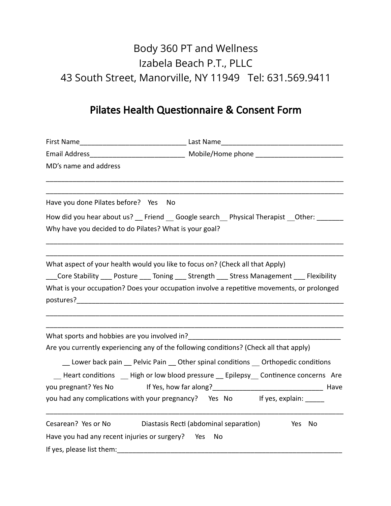## Body 360 PT and Wellness Izabela Beach P.T., PLLC 43 South Street, Manorville, NY 11949 Tel: 631.569.9411

## Pilates Health Questionnaire & Consent Form

| MD's name and address                                                                                                                                                                                                          |                                                                                                   |
|--------------------------------------------------------------------------------------------------------------------------------------------------------------------------------------------------------------------------------|---------------------------------------------------------------------------------------------------|
| Have you done Pilates before? Yes No                                                                                                                                                                                           |                                                                                                   |
|                                                                                                                                                                                                                                | How did you hear about us? Friend Google search Physical Therapist Other:                         |
| Why have you decided to do Pilates? What is your goal?                                                                                                                                                                         |                                                                                                   |
|                                                                                                                                                                                                                                |                                                                                                   |
| What aspect of your health would you like to focus on? (Check all that Apply)                                                                                                                                                  | Core Stability ____ Posture _____ Toning _____ Strength _____ Stress Management _____ Flexibility |
|                                                                                                                                                                                                                                | What is your occupation? Does your occupation involve a repetitive movements, or prolonged        |
|                                                                                                                                                                                                                                |                                                                                                   |
|                                                                                                                                                                                                                                |                                                                                                   |
|                                                                                                                                                                                                                                |                                                                                                   |
| What sports and hobbies are you involved in?<br>Are you currently experiencing any of the following conditions? (Check all that apply)                                                                                         |                                                                                                   |
|                                                                                                                                                                                                                                |                                                                                                   |
|                                                                                                                                                                                                                                | _ Lower back pain _ Pelvic Pain _ Other spinal conditions  Orthopedic conditions                  |
|                                                                                                                                                                                                                                | Heart conditions High or low blood pressure __ Epilepsy Continence concerns Are                   |
|                                                                                                                                                                                                                                | you pregnant? Yes No If Yes, how far along?<br>1992 - The Monte London, Maye Maye                 |
| you had any complications with your pregnancy? Yes No If yes, explain:                                                                                                                                                         |                                                                                                   |
| Cesarean? Yes or No Diastasis Recti (abdominal separation)                                                                                                                                                                     | <b>Example Stress No</b>                                                                          |
| Have you had any recent injuries or surgery? Yes                                                                                                                                                                               | No                                                                                                |
| If yes, please list them: The same state of the state of the state of the state of the state of the state of the state of the state of the state of the state of the state of the state of the state of the state of the state |                                                                                                   |